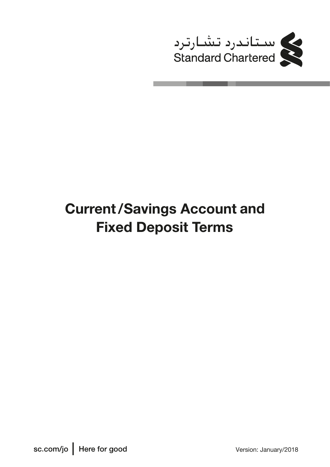

# **Current/Savings Account and Fixed Deposit Terms**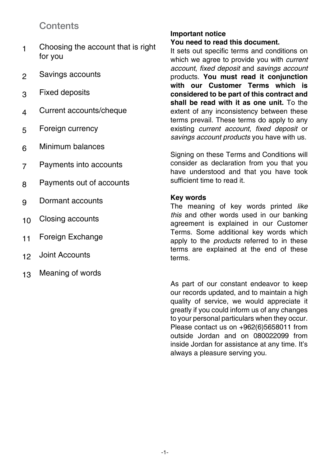## **Contents**

- Choosing the account that is right for you 1
- Savings accounts 2
- Fixed deposits 3
- Current accounts/cheque 4
- Foreign currency 5
- Minimum balances 6
- Payments into accounts 7
- Payments out of accounts 8
- Dormant accounts 9
- Closing accounts 10
- Foreign Exchange 11
- Joint Accounts 12
- Meaning of words 13

#### **Important notice You need to read this document.**

It sets out specific terms and conditions on which we agree to provide you with *current account*, *fixed deposit* and *savings account* products. **You must read it conjunction with our Customer Terms which is considered to be part of this contract and shall be read with it as one unit.** To the extent of any inconsistency between these terms prevail. These terms do apply to any existing *current account*, *fixed deposit* or *savings account products* you have with us.

Signing on these Terms and Conditions will consider as declaration from you that you have understood and that you have took sufficient time to read it.

### **Key words**

The meaning of key words printed *like this* and other words used in our banking agreement is explained in our Customer Terms. Some additional key words which apply to the *products* referred to in these terms are explained at the end of these terms.

As part of our constant endeavor to keep our records updated, and to maintain a high quality of service, we would appreciate it greatly if you could inform us of any changes to your personal particulars when they occur. Please contact us on +962(6)5658011 from outside Jordan and on 080022099 from inside Jordan for assistance at any time. It's always a pleasure serving you.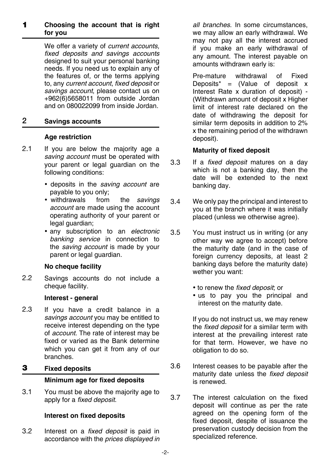#### **Choosing the account that is right for you** 1

We offer a variety of *current accounts, fixed deposits and savings accounts* designed to suit your personal banking needs. If you need us to explain any of the features of, or the terms applying to, any *current account*, *fixed deposit* or *savings account*, please contact us on +962(6)5658011 from outside Jordan and on 080022099 from inside Jordan.

#### **Savings accounts** 2

### **Age restriction**

- If you are below the majority age a *saving account* must be operated with your parent or legal guardian on the following conditions: 2.1
	- deposits in the *saving account* are payable to you only;<br>• withdrawals from
	- from the *savings account* are made using the account operating authority of your parent or legal guardian;
	- any subscription to an *electronic banking service* in connection to the *saving account* is made by your parent or legal guardian.

### **No cheque facility**

Savings accounts do not include a cheque facility. 2.2

### **Interest - general**

If you have a credit balance in a *savings account* you may be entitled to receive interest depending on the type of *account*. The rate of interest may be fixed or varied as the Bank determine which you can get it from any of our branches. 2.3

#### **Fixed deposits** 3

### **Minimum age for fixed deposits**

You must be above the majority age to apply for a *fixed deposit*. 3.1

### **Interest on fixed deposits**

Interest on a *fixed deposit* is paid in accordance with the *prices displayed in*  3.2

*all branches*. In some circumstances, we may allow an early withdrawal. We may not pay all the interest accrued if you make an early withdrawal of any amount. The interest payable on amounts withdrawn early is:

Pre-mature withdrawal of Fixed Deposits\* = (Value of deposit  $x$ Interest Rate x duration of deposit) - (Withdrawn amount of deposit x Higher limit of interest rate declared on the date of withdrawing the deposit for similar term deposits in addition to 2% x the remaining period of the withdrawn deposit).

### **Maturity of fixed deposit**

- If a *fixed deposit* matures on a day which is not a banking day, then the date will be extended to the next banking day. 3.3
- We only pay the principal and interest to you at the branch where it was initially placed (unless we otherwise agree). 3.4
- You must instruct us in writing (or any other way we agree to accept) before the maturity date (and in the case of foreign currency deposits, at least 2 banking days before the maturity date) wether you want: 3.5
	- to renew the *fixed deposit*; or
	- us to pay you the principal and interest on the maturity date.

If you do not instruct us, we may renew the *fixed deposit* for a similar term with interest at the prevailing interest rate for that term. However, we have no obligation to do so.

- Interest ceases to be payable after the maturity date unless the *fixed deposit*  is renewed. 3.6
- The interest calculation on the fixed deposit will continue as per the rate agreed on the opening form of the fixed deposit, despite of issuance the preservation custody decision from the specialized reference. 3.7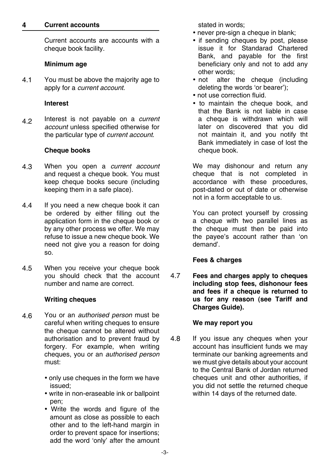#### **Current accounts 4**

Current accounts are accounts with a cheque book facility.

#### **Minimum age**

You must be above the majority age to apply for a *current account*. 4.1

#### **Interest**

Interest is not payable on a *current account* unless specified otherwise for the particular type of *current account*. 4.2

### **Cheque books**

- When you open a *current account* and request a cheque book. You must keep cheque books secure (including keeping them in a safe place). 4.3
- If you need a new cheque book it can be ordered by either filling out the application form in the cheque book or by any other process we offer. We may refuse to issue a new cheque book. We need not give you a reason for doing so. 4.4
- When you receive your cheque book you should check that the account number and name are correct. 4.5

### **Writing cheques**

- You or an *authorised person* must be careful when writing cheques to ensure the cheque cannot be altered without authorisation and to prevent fraud by forgery. For example, when writing cheques, you or an *authorised person* must: 4.6
	- only use cheques in the form we have issued;
	- write in non-eraseable ink or ballpoint pen;
	- Write the words and figure of the amount as close as possible to each other and to the left-hand margin in order to prevent space for insertions; add the word 'only' after the amount

stated in words;

- never pre-sign a cheque in blank:
- if sending cheques by post, please issue it for Standarad Chartered Bank, and payable for the first beneficiary only and not to add any other words;
- not alter the cheque (including deleting the words 'or bearer');
- not use correction fluid.
- to maintain the cheque book, and that the Bank is not liable in case a cheque is withdrawn which will later on discovered that you did not maintain it, and you notify tht Bank immediately in case of lost the cheque book.

We may dishonour and return any cheque that is not completed in accordance with these procedures, post-dated or out of date or otherwise not in a form acceptable to us.

You can protect yourself by crossing a cheque with two parallel lines as the cheque must then be paid into the payee's account rather than 'on demand'.

### **Fees & charges**

**Fees and charges apply to cheques including stop fees, dishonour fees and fees if a cheque is returned to us for any reason (see Tariff and Charges Guide).** 4.7

### **We may report you**

If you issue any cheques when your account has insufficient funds we may terminate our banking agreements and we must give details about your account to the Central Bank of Jordan returned cheques unit and other authorities, if you did not settle the returned cheque within 14 days of the returned date. 4.8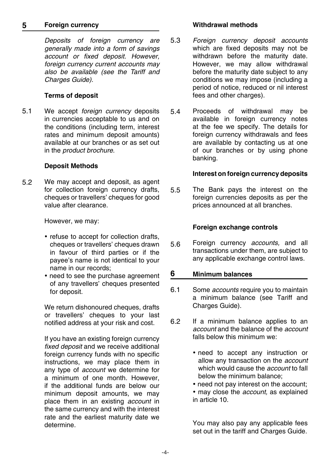#### **Foreign currency 5**

*Deposits of foreign currency are generally made into a form of savings account or fixed deposit. However, foreign currency current accounts may also be available (see the Tariff and Charges Guide).*

#### **Terms of deposit**

We accept *foreign currency* deposits in currencies acceptable to us and on the conditions (including term, interest rates and minimum deposit amounts) available at our branches or as set out in the *product brochure*. 5.1

#### **Deposit Methods**

We may accept and deposit, as agent for collection foreign currency drafts. cheques or travellers' cheques for good value after clearance. 5.2

However, we may:

- refuse to accept for collection drafts, cheques or travellers' cheques drawn in favour of third parties or if the payee's name is not identical to your name in our records;
- need to see the purchase agreement of any travellers' cheques presented for deposit.

We return dishonoured cheques, drafts or travellers' cheques to your last notified address at your risk and cost.

If you have an existing foreign currency *fixed deposit* and we receive additional foreign currency funds with no specific instructions, we may place them in any type of *account* we determine for a minimum of one month. However, if the additional funds are below our minimum deposit amounts, we may place them in an existing *account* in the same currency and with the interest rate and the earliest maturity date we determine.

#### **Withdrawal methods**

- *Foreign currency deposit accounts* which are fixed deposits may not be withdrawn before the maturity date. However, we may allow withdrawal before the maturity date subject to any conditions we may impose (including a period of notice, reduced or nil interest fees and other charges). 5.3
- Proceeds of withdrawal may be available in foreign currency notes at the fee we specify. The details for foreign currency withdrawals and fees are available by contacting us at one of our branches or by using phone banking. 5.4

#### **Interest on foreign currency deposits**

The Bank pays the interest on the foreign currencies deposits as per the prices announced at all branches. 5.5

#### **Foreign exchange controls**

Foreign currency *accounts,* and all transactions under them, are subject to any applicable exchange control laws. 5.6

#### **Minimum balances 6**

- Some *accounts* require you to maintain a minimum balance (see Tariff and Charges Guide). 6.1
- If a minimum balance applies to an *account* and the balance of the *account* falls below this minimum we: 6.2
	- need to accept any instruction or allow any transaction on the *account* which would cause the *account* to fall below the minimum balance;
	- need not pay interest on the account;
	- may close the *account,* as explained in article 10.

You may also pay any applicable fees set out in the tariff and Charges Guide.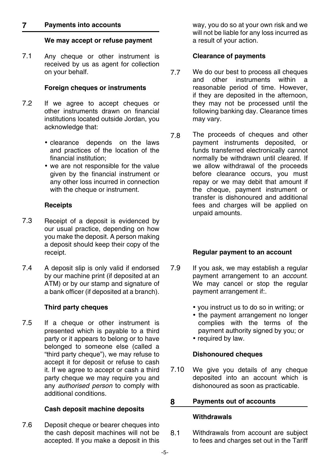#### **Payments into accounts 7**

#### **We may accept or refuse payment**

Any cheque or other instrument is received by us as agent for collection on your behalf. 7.1

#### **Foreign cheques or instruments**

- If we agree to accept cheques or other instruments drawn on financial institutions located outside Jordan, you acknowledge that: 7.2
	- clearance depends on the laws and practices of the location of the financial institution;
	- we are not responsible for the value given by the financial instrument or any other loss incurred in connection with the cheque or instrument.

#### **Receipts**

- Receipt of a deposit is evidenced by our usual practice, depending on how you make the deposit. A person making a deposit should keep their copy of the receipt. 7.3
- A deposit slip is only valid if endorsed by our machine print (if deposited at an ATM) or by our stamp and signature of a bank officer (if deposited at a branch). 7.4

#### **Third party cheques**

If a cheque or other instrument is presented which is payable to a third party or it appears to belong or to have belonged to someone else (called a "third party cheque"), we may refuse to accept it for deposit or refuse to cash it. If we agree to accept or cash a third party cheque we may require you and any *authorised person* to comply with additional conditions. 7.5

#### **Cash deposit machine deposits**

Deposit cheque or bearer cheques into the cash deposit machines will not be accepted. If you make a deposit in this 7.6

way, you do so at your own risk and we will not be liable for any loss incurred as a result of your action.

#### **Clearance of payments**

- We do our best to process all cheques and other instruments within a reasonable period of time. However, if they are deposited in the afternoon, they may not be processed until the following banking day. Clearance times may vary. 7.7
- The proceeds of cheques and other payment instruments deposited, or funds transferred electronically cannot normally be withdrawn until cleared. If we allow withdrawal of the proceeds before clearance occurs, you must repay or we may debit that amount if the cheque, payment instrument or transfer is dishonoured and additional fees and charges will be applied on unpaid amounts. 7.8

#### **Regular payment to an account**

- If you ask, we may establish a regular payment arrangement to an *account*. We may cancel or stop the regular payment arrangement if:. 7.9
	- you instruct us to do so in writing; or
	- the payment arrangement no longer complies with the terms of the payment authority signed by you; or
	- required by law.

#### **Dishonoured cheques**

We give you details of any cheque deposited into an account which is dishonoured as soon as practicable. 7.10

#### **Payments out of accounts 8**

#### **Withdrawals**

Withdrawals from account are subject to fees and charges set out in the Tariff 8.1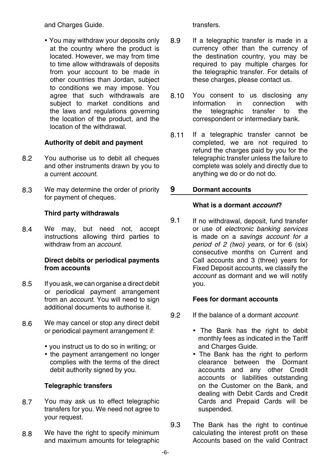and Charges Guide.

• You may withdraw your deposits only at the country where the product is located. However, we may from time to time allow withdrawals of deposits from your account to be made in other countries than Jordan, subject to conditions we may impose. You agree that such withdrawals are subject to market conditions and the laws and regulations governing the location of the product, and the location of the withdrawal.

### **Authority of debit and payment**

- You authorise us to debit all cheques and other instruments drawn by you to a current *account*. 8.2
- We may determine the order of priority for payment of cheques. 8.3

### **Third party withdrawals**

We may, but need not, accept instructions allowing third parties to withdraw from an *account*. 8.4

### **Direct debits or periodical payments from accounts**

- If you ask, we can organise a direct debit or periodical payment arrangement from an *account*. You will need to sign additional documents to authorise it. 8.5
- We may cancel or stop any direct debit or periodical payment arrangement if: 8.6
	- you instruct us to do so in writing; or
	- the payment arrangement no longer complies with the terms of the direct debit authority signed by you.

### **Telegraphic transfers**

- You may ask us to effect telegraphic transfers for you. We need not agree to your request. 8.7
- We have the right to specify minimum and maximum amounts for telegraphic 8.8

transfers.

- If a telegraphic transfer is made in a currency other than the currency of the destination country, you may be required to pay multiple charges for the telegraphic transfer. For details of these charges, please contact us. 8.9
- You consent to us disclosing any<br>information in connection with information in connection the telegraphic transfer to the correspondent or intermediary bank. 8.10
- If a telegraphic transfer cannot be completed, we are not required to refund the charges paid by you for the telegraphic transfer unless the failure to complete was solely and directly due to anything we do or do not do. 8.11

#### **Dormant accounts 9**

### **What is a dormant** *account***?**

If no withdrawal, deposit, fund transfer or use of *electronic banking services* is made on a *savings account for a period of 2 (two) years,* or for 6 (six) consecutive months on Current and Call accounts and 3 (three) years for Fixed Deposit accounts, we classify the *account* as dormant and we will notify you. 9.1

### **Fees for dormant accounts**

- If the balance of a dormant *account*: 9.2
	- The Bank has the right to debit monthly fees as indicated in the Tariff and Charges Guide.
	- The Bank has the right to perform clearance between the Dormant accounts and any other Credit accounts or liabilities outstanding on the Customer on the Bank, and dealing with Debit Cards and Credit Cards and Prepaid Cards will be suspended.
- The Bank has the right to continue calculating the interest profit on these Accounts based on the valid Contract 9.3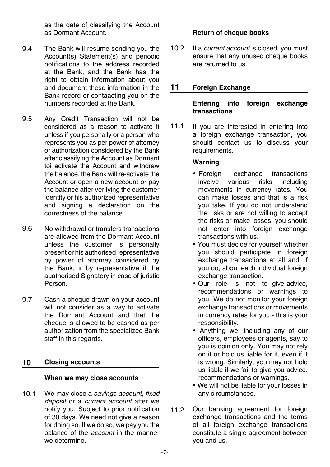as the date of classifying the Account as Dormant Account.

- The Bank will resume sending you the Account(s) Statement(s) and periodic notifications to the address recorded at the Bank, and the Bank has the right to obtain information about you and document these information in the Bank record or contaacting you on the numbers recorded at the Bank. 9.4
- Any Credit Transaction will not be considered as a reason to activate it unless if you personally or a person who represents you as per power of attorney or authorization considered by the Bank after classifying the Account as Dormant toi activate the Account and withdraw the balance, the Bank will re-activate the Account or open a new account or pay the balance after verifying the customer identity or his authorized representative and signing a declaration on the correctness of the balance. 9.5
- No withdrawal or transfers transactions are allowed from the Dormant Account unless the customer is personally present or his authorised representative by power of attorney considered by the Bank, ir by representative if the auathorised Signatory in case of juristic Person. 9.6
- Cash a cheque drawn on your account will not consider as a way to activate the Dormant Account and that the cheque is allowed to be cashed as per authorization from the specialized Bank staff in this regards. 9.7

#### **Closing accounts 10**

#### **When we may close accounts**

We may close a *savings account*, *fixed deposit* or a *current account* after we notify you. Subject to prior notification of 30 days. We need not give a reason for doing so. If we do so, we pay you the balance of the *account* in the manner we determine. 10.1

#### **Return of cheque books**

If a *current account* is closed, you must ensure that any unused cheque books are returned to us. 10.2

#### **Foreign Exchange 11**

#### **Entering into foreign exchange transactions**

If you are interested in entering into a foreign exchange transaction, you should contact us to discuss your requirements. 11.1

#### **Warning**

- Foreign exchange transactions<br>involve various risks including including movements in currency rates. You can make losses and that is a risk you take. If you do not understand the risks or are not willing to accept the risks or make losses, you should not enter into foreign exchange transactions with us.
- You must decide for yourself whether you should participate in foreign exchange transactions at all and, if you do, about each individual foreign exchange transaction.
- Our role is not to give advice, recommendations or warnings to you. We do not monitor your foreign exchange transactions or movements in currency rates for you - this is your responsibility.
- Anything we, including any of our officers, employees or agents, say to you is opinion only. You may not rely on it or hold us liable for it, even if it is wrong. Similarly, you may not hold us liable if we fail to give you advice, recommendations or warnings.
- We will not be liable for your losses in any circumstances.
- Our banking agreement for foreign exchange transactions and the terms of all foreign exchange transactions constitute a single agreement between you and us. 11.2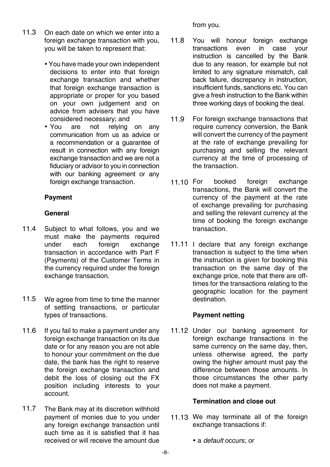- On each date on which we enter into a foreign exchange transaction with you, you will be taken to represent that: 11.3
	- You have made your own independent decisions to enter into that foreign exchange transaction and whether that foreign exchange transaction is appropriate or proper for you based on your own judgement and on advice from advisers that you have considered necessary; and
	- You are not relying on any communication from us as advice or a recommendation or a guarantee of result in connection with any foreign exchange transaction and we are not a fiduciary or advisor to you in connection with our banking agreement or any foreign exchange transaction.

#### **Payment**

#### **General**

- Subject to what follows, you and we must make the payments required<br>under each foreign exchange under each foreign exchange transaction in accordance with Part F (Payments) of the Customer Terms in the currency required under the foreign exchange transaction. 11.4
- We agree from time to time the manner of settling transactions, or particular types of transactions. 11.5
- If you fail to make a payment under any foreign exchange transaction on its due date or for any reason you are not able to honour your commitment on the due date, the bank has the right to reserve the foreign exchange transaction and debit the loss of closing out the FX position including interests to your account. 11.6
- The Bank may at its discretion withhold payment of monies due to you under any foreign exchange transaction until such time as it is satisfied that it has received or will receive the amount due 11.7

#### from you.

- You will honour foreign exchange transactions even in case your instruction is cancelled by the Bank due to any reason, for example but not limited to any signature mismatch, call back failure, discrepancy in instruction, insufficient funds, sanctions etc. You can give a fresh instruction to the Bank within three working days of booking the deal. 11.8
- For foreign exchange transactions that require currency conversion, the Bank will convert the currency of the payment at the rate of exchange prevailing for purchasing and selling the relevant currency at the time of processing of the transaction. 11.9
- booked foreign exchange transactions, the Bank will convert the currency of the payment at the rate of exchange prevailing for purchasing and selling the relevant currency at the time of booking the foreign exchange transaction. 11.10 For
- 11.11 I declare that any foreign exchange transaction is subject to the time when the instruction is given for booking this transaction on the same day of the exchange price, note that there are offtimes for the transactions relating to the geographic location for the payment destination.

### **Payment netting**

11.12 Under our banking agreement for foreign exchange transactions in the same currency on the same day, then, unless otherwise agreed, the party owing the higher amount must pay the difference between those amounts. In those circumstances the other party does not make a payment.

### **Termination and close out**

- 11.13 We may terminate all of the foreign exchange transactions if:
	- a *default* occurs; or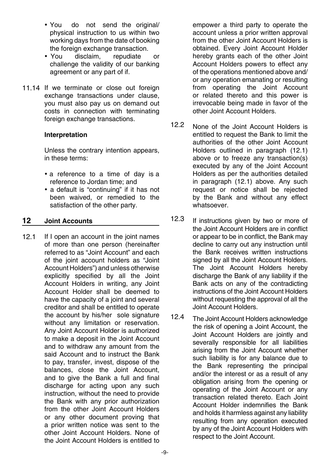- You do not send the original/ physical instruction to us within two working days from the date of booking the foreign exchange transaction.
- You disclaim, repudiate or challenge the validity of our banking agreement or any part of if.
- 11.14 If we terminate or close out foreign exchange transactions under clause, you must also pay us on demand out costs in connection with terminating foreign exchange transactions.

#### **Interpretation**

Unless the contrary intention appears, in these terms:

- a reference to a time of day is a reference to Jordan time; and
- a default is "continuing" if it has not been waived, or remedied to the satisfaction of the other party.

#### **Joint Accounts 12**

If I open an account in the joint names of more than one person (hereinafter referred to as "Joint Account" and each of the joint account holders as "Joint Account Holders") and unless otherwise explicitly specified by all the Joint Account Holders in writing, any Joint Account Holder shall be deemed to have the capacity of a joint and several creditor and shall be entitled to operate the account by his/her sole signature without any limitation or reservation. Any Joint Account Holder is authorized to make a deposit in the Joint Account and to withdraw any amount from the said Account and to instruct the Bank to pay, transfer, invest, dispose of the balances, close the Joint Account, and to give the Bank a full and final discharge for acting upon any such instruction, without the need to provide the Bank with any prior authorization from the other Joint Account Holders or any other document proving that a prior written notice was sent to the other Joint Account Holders. None of the Joint Account Holders is entitled to 12.1

empower a third party to operate the account unless a prior written approval from the other Joint Account Holders is obtained. Every Joint Account Holder hereby grants each of the other Joint Account Holders powers to effect any of the operations mentioned above and/ or any operation emanating or resulting from operating the Joint Account or related thereto and this power is irrevocable being made in favor of the other Joint Account Holders.

- None of the Joint Account Holders is entitled to request the Bank to limit the authorities of the other Joint Account Holders outlined in paragraph (12.1) above or to freeze any transaction(s) executed by any of the Joint Account Holders as per the authorities detailed in paragraph (12.1) above. Any such request or notice shall be rejected by the Bank and without any effect whatsoever. 12.2
- If instructions given by two or more of the Joint Account Holders are in conflict or appear to be in conflict, the Bank may decline to carry out any instruction until the Bank receives written instructions signed by all the Joint Account Holders. The Joint Account Holders hereby discharge the Bank of any liability if the Bank acts on any of the contradicting instructions of the Joint Account Holders without requesting the approval of all the Joint Account Holders. 12.3
- The Joint Account Holders acknowledge the risk of opening a Joint Account, the Joint Account Holders are jointly and severally responsible for all liabilities arising from the Joint Account whether such liability is for any balance due to the Bank representing the principal and/or the interest or as a result of any obligation arising from the opening or operating of the Joint Account or any transaction related thereto. Each Joint Account Holder indemnifies the Bank and holds it harmless against any liability resulting from any operation executed by any of the Joint Account Holders with respect to the Joint Account.  $12.4$